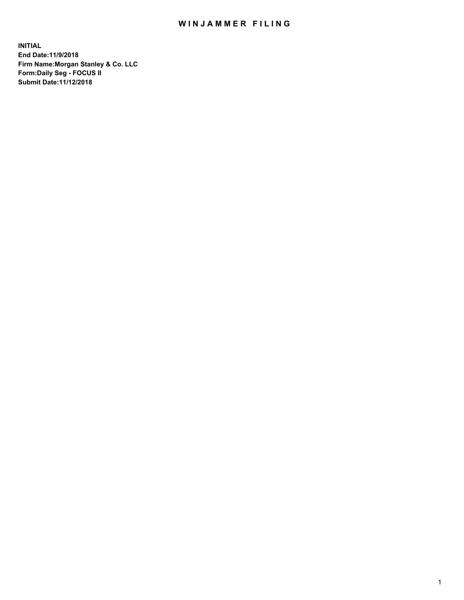## WIN JAMMER FILING

**INITIAL End Date:11/9/2018 Firm Name:Morgan Stanley & Co. LLC Form:Daily Seg - FOCUS II Submit Date:11/12/2018**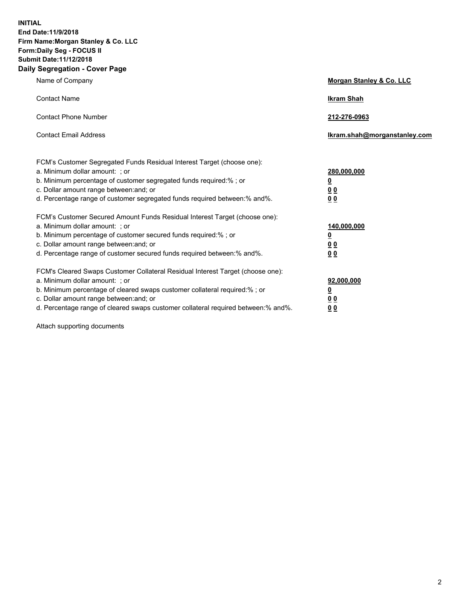**INITIAL End Date:11/9/2018 Firm Name:Morgan Stanley & Co. LLC Form:Daily Seg - FOCUS II Submit Date:11/12/2018 Daily Segregation - Cover Page**

| Name of Company                                                                                                                                                                                                                                                                                                                | Morgan Stanley & Co. LLC                   |
|--------------------------------------------------------------------------------------------------------------------------------------------------------------------------------------------------------------------------------------------------------------------------------------------------------------------------------|--------------------------------------------|
| <b>Contact Name</b>                                                                                                                                                                                                                                                                                                            | <b>Ikram Shah</b>                          |
| <b>Contact Phone Number</b>                                                                                                                                                                                                                                                                                                    | 212-276-0963                               |
| <b>Contact Email Address</b>                                                                                                                                                                                                                                                                                                   | Ikram.shah@morganstanley.com               |
| FCM's Customer Segregated Funds Residual Interest Target (choose one):<br>a. Minimum dollar amount: ; or<br>b. Minimum percentage of customer segregated funds required:% ; or<br>c. Dollar amount range between: and; or<br>d. Percentage range of customer segregated funds required between:% and%.                         | 280,000,000<br><u>0</u><br><u>00</u><br>00 |
| FCM's Customer Secured Amount Funds Residual Interest Target (choose one):<br>a. Minimum dollar amount: ; or<br>b. Minimum percentage of customer secured funds required:%; or<br>c. Dollar amount range between: and; or<br>d. Percentage range of customer secured funds required between:% and%.                            | 140,000,000<br><u>0</u><br><u>00</u><br>00 |
| FCM's Cleared Swaps Customer Collateral Residual Interest Target (choose one):<br>a. Minimum dollar amount: ; or<br>b. Minimum percentage of cleared swaps customer collateral required:% ; or<br>c. Dollar amount range between: and; or<br>d. Percentage range of cleared swaps customer collateral required between:% and%. | 92,000,000<br><u>0</u><br><u>00</u><br>00  |

Attach supporting documents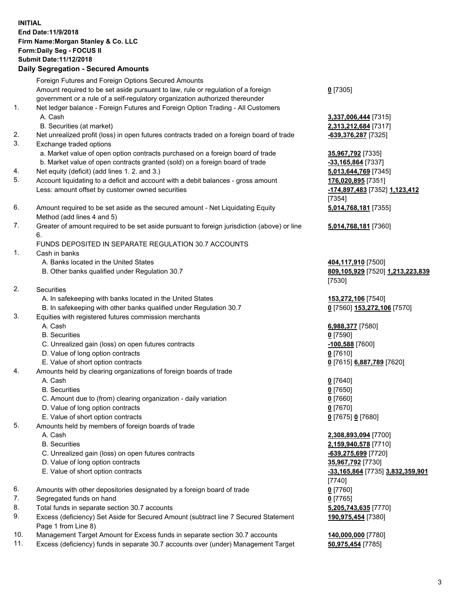## **INITIAL End Date:11/9/2018 Firm Name:Morgan Stanley & Co. LLC Form:Daily Seg - FOCUS II Submit Date:11/12/2018**

**Daily Segregation - Secured Amounts** Foreign Futures and Foreign Options Secured Amounts Amount required to be set aside pursuant to law, rule or regulation of a foreign government or a rule of a self-regulatory organization authorized thereunder 1. Net ledger balance - Foreign Futures and Foreign Option Trading - All Customers A. Cash **3,337,006,444** [7315] B. Securities (at market) **2,313,212,684** [7317] 2. Net unrealized profit (loss) in open futures contracts traded on a foreign board of trade **-639,376,287** [7325] 3. Exchange traded options a. Market value of open option contracts purchased on a foreign board of trade **35,967,792** [7335] b. Market value of open contracts granted (sold) on a foreign board of trade **-33,165,864** [7337] 4. Net equity (deficit) (add lines 1. 2. and 3.) **5,013,644,769** [7345] 5. Account liquidating to a deficit and account with a debit balances - gross amount **176,020,895** [7351] Less: amount offset by customer owned securities **-174,897,483** [7352] **1,123,412** 6. Amount required to be set aside as the secured amount - Net Liquidating Equity Method (add lines 4 and 5) 7. Greater of amount required to be set aside pursuant to foreign jurisdiction (above) or line 6. FUNDS DEPOSITED IN SEPARATE REGULATION 30.7 ACCOUNTS 1. Cash in banks A. Banks located in the United States **404,117,910** [7500] B. Other banks qualified under Regulation 30.7 **809,105,929** [7520] **1,213,223,839** 2. Securities A. In safekeeping with banks located in the United States **153,272,106** [7540] B. In safekeeping with other banks qualified under Regulation 30.7 **0** [7560] **153,272,106** [7570] 3. Equities with registered futures commission merchants A. Cash **6,988,377** [7580] B. Securities **0** [7590] C. Unrealized gain (loss) on open futures contracts **-100,588** [7600] D. Value of long option contracts **0** [7610] E. Value of short option contracts **0** [7615] **6,887,789** [7620] 4. Amounts held by clearing organizations of foreign boards of trade A. Cash **0** [7640] B. Securities **0** [7650] C. Amount due to (from) clearing organization - daily variation **0** [7660] D. Value of long option contracts **0** [7670] E. Value of short option contracts **0** [7675] **0** [7680] 5. Amounts held by members of foreign boards of trade A. Cash **2,308,893,094** [7700] B. Securities **2,159,940,578** [7710] C. Unrealized gain (loss) on open futures contracts **-639,275,699** [7720] D. Value of long option contracts **35,967,792** [7730] E. Value of short option contracts **-33,165,864** [7735] **3,832,359,901** 6. Amounts with other depositories designated by a foreign board of trade **0** [7760]

- 
- 7. Segregated funds on hand **0** [7765]
- 8. Total funds in separate section 30.7 accounts **5,205,743,635** [7770]
- 9. Excess (deficiency) Set Aside for Secured Amount (subtract line 7 Secured Statement Page 1 from Line 8)
- 10. Management Target Amount for Excess funds in separate section 30.7 accounts **140,000,000** [7780]
- 11. Excess (deficiency) funds in separate 30.7 accounts over (under) Management Target **50,975,454** [7785]

**0** [7305]

[7354] **5,014,768,181** [7355]

**5,014,768,181** [7360]

[7530]

[7740] **190,975,454** [7380]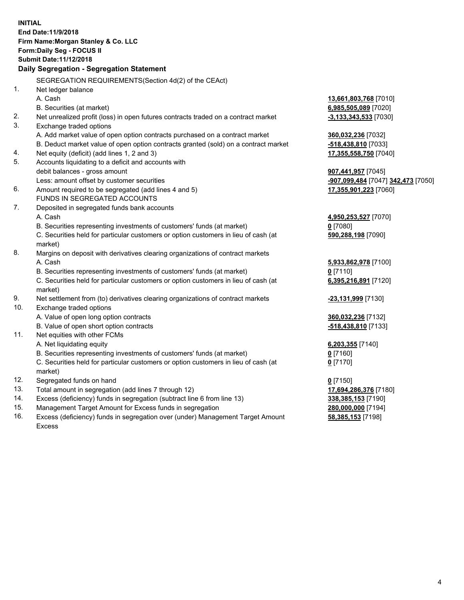**INITIAL End Date:11/9/2018 Firm Name:Morgan Stanley & Co. LLC Form:Daily Seg - FOCUS II Submit Date:11/12/2018 Daily Segregation - Segregation Statement** SEGREGATION REQUIREMENTS(Section 4d(2) of the CEAct) 1. Net ledger balance A. Cash **13,661,803,768** [7010] B. Securities (at market) **6,985,505,089** [7020] 2. Net unrealized profit (loss) in open futures contracts traded on a contract market **-3,133,343,533** [7030] 3. Exchange traded options A. Add market value of open option contracts purchased on a contract market **360,032,236** [7032] B. Deduct market value of open option contracts granted (sold) on a contract market **-518,438,810** [7033] 4. Net equity (deficit) (add lines 1, 2 and 3) **17,355,558,750** [7040] 5. Accounts liquidating to a deficit and accounts with debit balances - gross amount **907,441,957** [7045] Less: amount offset by customer securities **-907,099,484** [7047] **342,473** [7050] 6. Amount required to be segregated (add lines 4 and 5) **17,355,901,223** [7060] FUNDS IN SEGREGATED ACCOUNTS 7. Deposited in segregated funds bank accounts A. Cash **4,950,253,527** [7070] B. Securities representing investments of customers' funds (at market) **0** [7080] C. Securities held for particular customers or option customers in lieu of cash (at market) **590,288,198** [7090] 8. Margins on deposit with derivatives clearing organizations of contract markets A. Cash **5,933,862,978** [7100] B. Securities representing investments of customers' funds (at market) **0** [7110] C. Securities held for particular customers or option customers in lieu of cash (at market) **6,395,216,891** [7120] 9. Net settlement from (to) derivatives clearing organizations of contract markets **-23,131,999** [7130] 10. Exchange traded options A. Value of open long option contracts **360,032,236** [7132] B. Value of open short option contracts **-518,438,810** [7133] 11. Net equities with other FCMs A. Net liquidating equity **6,203,355** [7140] B. Securities representing investments of customers' funds (at market) **0** [7160] C. Securities held for particular customers or option customers in lieu of cash (at market) **0** [7170] 12. Segregated funds on hand **0** [7150] 13. Total amount in segregation (add lines 7 through 12) **17,694,286,376** [7180] 14. Excess (deficiency) funds in segregation (subtract line 6 from line 13) **338,385,153** [7190] 15. Management Target Amount for Excess funds in segregation **280,000,000** [7194] **58,385,153** [7198]

16. Excess (deficiency) funds in segregation over (under) Management Target Amount Excess